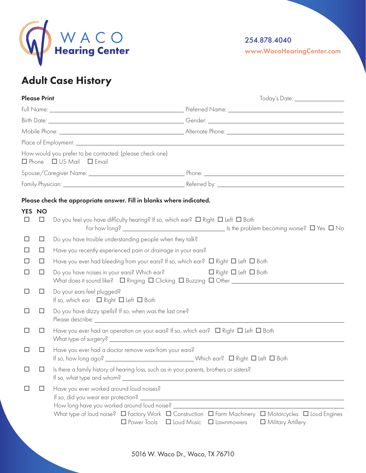

254.878.4040

www.WacoHearingCenter.com

## Adult Case History

|        | <b>Please Print</b> | Today's Date: _________________                                                                                                                                                                    |
|--------|---------------------|----------------------------------------------------------------------------------------------------------------------------------------------------------------------------------------------------|
|        |                     |                                                                                                                                                                                                    |
|        |                     |                                                                                                                                                                                                    |
|        |                     |                                                                                                                                                                                                    |
|        |                     |                                                                                                                                                                                                    |
|        |                     | How would you prefer to be contacted: (please check one)<br>$\Box$ Phone $\Box$ US Mail $\Box$ Email                                                                                               |
|        |                     |                                                                                                                                                                                                    |
|        |                     |                                                                                                                                                                                                    |
| $\Box$ | YES NO<br>$\Box$    | Please check the appropriate answer. Fill in blanks where indicated.<br>Do you feel you have difficulty hearing? If so, which ear? $\Box$ Right $\Box$ Left $\Box$ Both<br>For how long? $\Box$ No |
| $\Box$ | $\Box$              | Do you have trouble understanding people when they talk?                                                                                                                                           |
| $\Box$ | $\Box$              | Have you recently experienced pain or drainage in your ears?                                                                                                                                       |
| ΙI     | □                   |                                                                                                                                                                                                    |
| $\Box$ | $\Box$              | Do you have noises in your ears? Which ear?<br>□ Right □ Left □ Both                                                                                                                               |
| ப      | $\Box$              | Do your ears feel plugged?<br>If so, which ear $\Box$ Right $\Box$ Left $\Box$ Both                                                                                                                |
| $\Box$ | □                   | Do you have dizzy spells? If so, when was the last one?                                                                                                                                            |
| $\Box$ | $\Box$              | Have you ever had an operation on your ears? If so, which ear? $\Box$ Right $\Box$ Left $\Box$ Both                                                                                                |
| □      | □                   | Have you ever had a doctor remove wax from your ears?<br>Notich ear? □ Right □ Left □ Both<br>If so, how long ago?                                                                                 |
| ப      | ப                   | Is there a family history of hearing loss, such as in your parents, brothers or sisters?                                                                                                           |
|        | ப                   | Have you ever worked around loud noises?<br>How long have you worked around loud noise? ___<br>□ Power Tools □ Loud Music □ Lawnmowers<br>Military Artillery                                       |